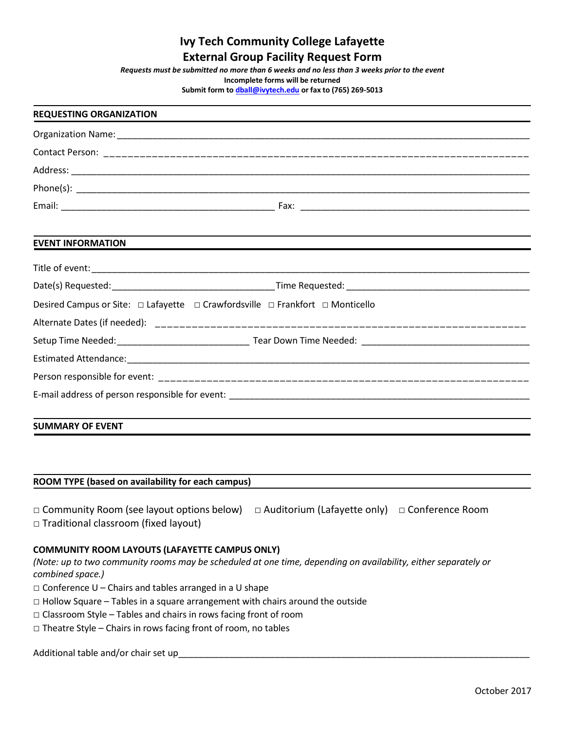# **Ivy Tech Community College Lafayette External Group Facility Request Form**

*Requests must be submitted no more than 6 weeks and no less than 3 weeks prior to the event*

**Incomplete forms will be returned**

**Submit form t[o dball@ivytech.edu](mailto:dball@ivytech.edu) or fax to (765) 269-5013**

# **REQUESTING ORGANIZATION**  Organization Name: \_\_\_\_\_\_\_\_\_\_\_\_\_\_\_\_\_\_\_\_\_\_\_\_\_\_\_\_\_\_\_\_\_\_\_\_\_\_\_\_\_\_\_\_\_\_\_\_\_\_\_\_\_\_\_\_\_\_\_\_\_\_\_\_\_\_\_\_\_\_\_\_\_\_\_\_\_\_\_\_\_ Contact Person: \_\_\_\_\_\_\_\_\_\_\_\_\_\_\_\_\_\_\_\_\_\_\_\_\_\_\_\_\_\_\_\_\_\_\_\_\_\_\_\_\_\_\_\_\_\_\_\_\_\_\_\_\_\_\_\_\_\_\_\_\_\_\_\_\_\_\_\_\_\_ Address: \_\_\_\_\_\_\_\_\_\_\_\_\_\_\_\_\_\_\_\_\_\_\_\_\_\_\_\_\_\_\_\_\_\_\_\_\_\_\_\_\_\_\_\_\_\_\_\_\_\_\_\_\_\_\_\_\_\_\_\_\_\_\_\_\_\_\_\_\_\_\_\_\_\_\_\_\_\_\_\_\_\_\_\_\_\_\_\_\_\_  $Phone(s):$ Email: \_\_\_\_\_\_\_\_\_\_\_\_\_\_\_\_\_\_\_\_\_\_\_\_\_\_\_\_\_\_\_\_\_\_\_\_\_\_\_\_\_\_ Fax: \_\_\_\_\_\_\_\_\_\_\_\_\_\_\_\_\_\_\_\_\_\_\_\_\_\_\_\_\_\_\_\_\_\_\_\_\_\_\_\_\_\_\_\_\_ **EVENT INFORMATION** Title of event: Date(s) Requested:\_\_\_\_\_\_\_\_\_\_\_\_\_\_\_\_\_\_\_\_\_\_\_\_\_\_\_\_\_\_\_\_Time Requested: \_\_\_\_\_\_\_\_\_\_\_\_\_\_\_\_\_\_\_\_\_\_\_\_\_\_\_\_\_\_\_\_\_\_\_\_ Desired Campus or Site: □ Lafayette □ Crawfordsville □ Frankfort □ Monticello Alternate Dates (if needed): \_\_\_\_\_\_\_\_\_\_\_\_\_\_\_\_\_\_\_\_\_\_\_\_\_\_\_\_\_\_\_\_\_\_\_\_\_\_\_\_\_\_\_\_\_\_\_\_\_\_\_\_\_\_\_\_\_\_\_\_ Setup Time Needed:\_\_\_\_\_\_\_\_\_\_\_\_\_\_\_\_\_\_\_\_\_\_\_\_\_\_ Tear Down Time Needed: \_\_\_\_\_\_\_\_\_\_\_\_\_\_\_\_\_\_\_\_\_\_\_\_\_\_\_\_\_\_\_\_\_ Estimated Attendance: Person responsible for event: \_\_\_\_\_\_\_\_\_\_\_\_\_\_\_\_\_\_\_\_\_\_\_\_\_\_\_\_\_\_\_\_\_\_\_\_\_\_\_\_\_\_\_\_\_\_\_\_\_\_\_\_\_\_\_\_\_\_\_\_\_ E-mail address of person responsible for event:

# **SUMMARY OF EVENT**

#### **ROOM TYPE (based on availability for each campus)**

□ Community Room (see layout options below) □ Auditorium (Lafayette only) □ Conference Room □ Traditional classroom (fixed layout)

#### **COMMUNITY ROOM LAYOUTS (LAFAYETTE CAMPUS ONLY)**

*(Note: up to two community rooms may be scheduled at one time, depending on availability, either separately or combined space.)*

- $\square$  Conference U Chairs and tables arranged in a U shape
- $\Box$  Hollow Square Tables in a square arrangement with chairs around the outside
- $\Box$  Classroom Style Tables and chairs in rows facing front of room
- $\Box$  Theatre Style Chairs in rows facing front of room, no tables

Additional table and/or chair set up\_\_\_\_\_\_\_\_\_\_\_\_\_\_\_\_\_\_\_\_\_\_\_\_\_\_\_\_\_\_\_\_\_\_\_\_\_\_\_\_\_\_\_\_\_\_\_\_\_\_\_\_\_\_\_\_\_\_\_\_\_\_\_\_\_\_\_\_\_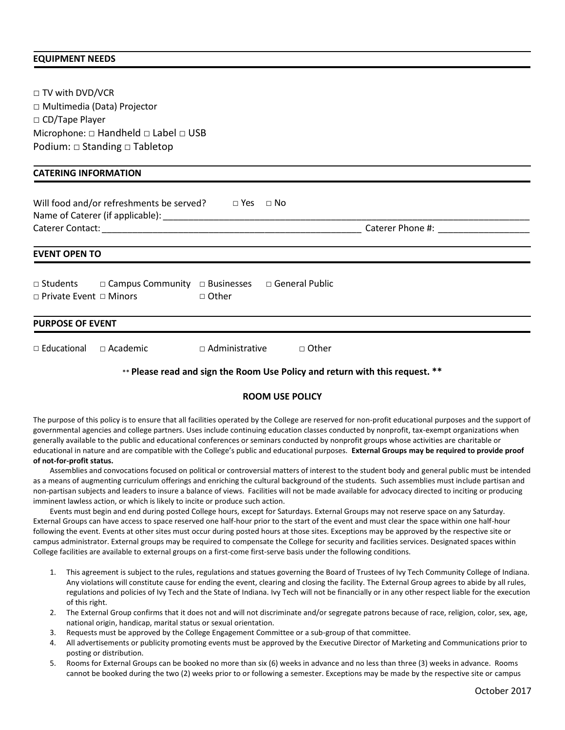#### **EQUIPMENT NEEDS**

| $\Box$ TV with DVD/VCR                                                                                                    |                                  |                                       |  |  |
|---------------------------------------------------------------------------------------------------------------------------|----------------------------------|---------------------------------------|--|--|
| □ Multimedia (Data) Projector                                                                                             |                                  |                                       |  |  |
| □ CD/Tape Player                                                                                                          |                                  |                                       |  |  |
| Microphone: $\Box$ Handheld $\Box$ Label $\Box$ USB                                                                       |                                  |                                       |  |  |
| Podium: $\Box$ Standing $\Box$ Tabletop                                                                                   |                                  |                                       |  |  |
| <b>CATERING INFORMATION</b>                                                                                               |                                  |                                       |  |  |
|                                                                                                                           |                                  |                                       |  |  |
| Will food and/or refreshments be served? $\Box$ Yes $\Box$ No                                                             |                                  |                                       |  |  |
|                                                                                                                           |                                  | Caterer Phone #: The Caterer Phone #: |  |  |
| <b>EVENT OPEN TO</b>                                                                                                      |                                  |                                       |  |  |
| □ Students □ Campus Community □ Businesses □ General Public<br>$\Box$ Private Event $\Box$ Minors<br>tary dia dia ⊡ Other |                                  |                                       |  |  |
| <b>PURPOSE OF EVENT</b>                                                                                                   |                                  |                                       |  |  |
| □ Educational<br>$\Box$ Academic                                                                                          | $\Box$ Administrative<br>□ Other |                                       |  |  |
|                                                                                                                           |                                  |                                       |  |  |

# \*\* **Please read and sign the Room Use Policy and return with this request. \*\***

# **ROOM USE POLICY**

The purpose of this policy is to ensure that all facilities operated by the College are reserved for non-profit educational purposes and the support of governmental agencies and college partners. Uses include continuing education classes conducted by nonprofit, tax-exempt organizations when generally available to the public and educational conferences or seminars conducted by nonprofit groups whose activities are charitable or educational in nature and are compatible with the College's public and educational purposes. **External Groups may be required to provide proof of not-for-profit status.** 

Assemblies and convocations focused on political or controversial matters of interest to the student body and general public must be intended as a means of augmenting curriculum offerings and enriching the cultural background of the students. Such assemblies must include partisan and non-partisan subjects and leaders to insure a balance of views. Facilities will not be made available for advocacy directed to inciting or producing imminent lawless action, or which is likely to incite or produce such action.

Events must begin and end during posted College hours, except for Saturdays. External Groups may not reserve space on any Saturday. External Groups can have access to space reserved one half-hour prior to the start of the event and must clear the space within one half-hour following the event. Events at other sites must occur during posted hours at those sites. Exceptions may be approved by the respective site or campus administrator. External groups may be required to compensate the College for security and facilities services. Designated spaces within College facilities are available to external groups on a first-come first-serve basis under the following conditions.

- 1. This agreement is subject to the rules, regulations and statues governing the Board of Trustees of Ivy Tech Community College of Indiana. Any violations will constitute cause for ending the event, clearing and closing the facility. The External Group agrees to abide by all rules, regulations and policies of Ivy Tech and the State of Indiana. Ivy Tech will not be financially or in any other respect liable for the execution of this right.
- 2. The External Group confirms that it does not and will not discriminate and/or segregate patrons because of race, religion, color, sex, age, national origin, handicap, marital status or sexual orientation.
- 3. Requests must be approved by the College Engagement Committee or a sub-group of that committee.
- 4. All advertisements or publicity promoting events must be approved by the Executive Director of Marketing and Communications prior to posting or distribution.
- 5. Rooms for External Groups can be booked no more than six (6) weeks in advance and no less than three (3) weeks in advance. Rooms cannot be booked during the two (2) weeks prior to or following a semester. Exceptions may be made by the respective site or campus